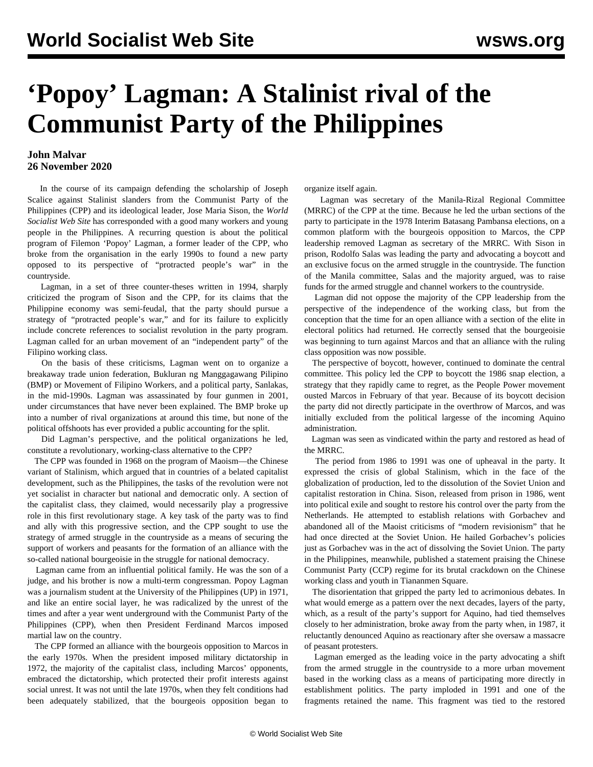# **'Popoy' Lagman: A Stalinist rival of the Communist Party of the Philippines**

### **John Malvar 26 November 2020**

 In the course of its campaign defending the scholarship of Joseph Scalice against Stalinist slanders from the Communist Party of the Philippines (CPP) and its ideological leader, Jose Maria Sison, the *World Socialist Web Site* has corresponded with a good many workers and young people in the Philippines. A recurring question is about the political program of Filemon 'Popoy' Lagman, a former leader of the CPP, who broke from the organisation in the early 1990s to found a new party opposed to its perspective of "protracted people's war" in the countryside.

 Lagman, in a set of three counter-theses written in 1994, sharply criticized the program of Sison and the CPP, for its claims that the Philippine economy was semi-feudal, that the party should pursue a strategy of "protracted people's war," and for its failure to explicitly include concrete references to socialist revolution in the party program. Lagman called for an urban movement of an "independent party" of the Filipino working class.

 On the basis of these criticisms, Lagman went on to organize a breakaway trade union federation, Bukluran ng Manggagawang Pilipino (BMP) or Movement of Filipino Workers, and a political party, Sanlakas, in the mid-1990s. Lagman was assassinated by four gunmen in 2001, under circumstances that have never been explained. The BMP broke up into a number of rival organizations at around this time, but none of the political offshoots has ever provided a public accounting for the split.

 Did Lagman's perspective, and the political organizations he led, constitute a revolutionary, working-class alternative to the CPP?

 The CPP was founded in 1968 on the program of Maoism—the Chinese variant of Stalinism, which argued that in countries of a belated capitalist development, such as the Philippines, the tasks of the revolution were not yet socialist in character but national and democratic only. A section of the capitalist class, they claimed, would necessarily play a progressive role in this first revolutionary stage. A key task of the party was to find and ally with this progressive section, and the CPP sought to use the strategy of armed struggle in the countryside as a means of securing the support of workers and peasants for the formation of an alliance with the so-called national bourgeoisie in the struggle for national democracy.

 Lagman came from an influential political family. He was the son of a judge, and his brother is now a multi-term congressman. Popoy Lagman was a journalism student at the University of the Philippines (UP) in 1971, and like an entire social layer, he was radicalized by the unrest of the times and after a year went underground with the Communist Party of the Philippines (CPP), when then President Ferdinand Marcos imposed martial law on the country.

 The CPP formed an alliance with the bourgeois opposition to Marcos in the early 1970s. When the president imposed military dictatorship in 1972, the majority of the capitalist class, including Marcos' opponents, embraced the dictatorship, which protected their profit interests against social unrest. It was not until the late 1970s, when they felt conditions had been adequately stabilized, that the bourgeois opposition began to

organize itself again.

 Lagman was secretary of the Manila-Rizal Regional Committee (MRRC) of the CPP at the time. Because he led the urban sections of the party to participate in the 1978 Interim Batasang Pambansa elections, on a common platform with the bourgeois opposition to Marcos, the CPP leadership removed Lagman as secretary of the MRRC. With Sison in prison, Rodolfo Salas was leading the party and advocating a boycott and an exclusive focus on the armed struggle in the countryside. The function of the Manila committee, Salas and the majority argued, was to raise funds for the armed struggle and channel workers to the countryside.

 Lagman did not oppose the majority of the CPP leadership from the perspective of the independence of the working class, but from the conception that the time for an open alliance with a section of the elite in electoral politics had returned. He correctly sensed that the bourgeoisie was beginning to turn against Marcos and that an alliance with the ruling class opposition was now possible.

 The perspective of boycott, however, continued to dominate the central committee. This policy led the CPP to boycott the 1986 snap election, a strategy that they rapidly came to regret, as the People Power movement ousted Marcos in February of that year. Because of its boycott decision the party did not directly participate in the overthrow of Marcos, and was initially excluded from the political largesse of the incoming Aquino administration.

 Lagman was seen as vindicated within the party and restored as head of the MRRC.

 The period from 1986 to 1991 was one of upheaval in the party. It expressed the crisis of global Stalinism, which in the face of the globalization of production, led to the dissolution of the Soviet Union and capitalist restoration in China. Sison, released from prison in 1986, went into political exile and sought to restore his control over the party from the Netherlands. He attempted to establish relations with Gorbachev and abandoned all of the Maoist criticisms of "modern revisionism" that he had once directed at the Soviet Union. He hailed Gorbachev's policies just as Gorbachev was in the act of dissolving the Soviet Union. The party in the Philippines, meanwhile, published a statement praising the Chinese Communist Party (CCP) regime for its brutal crackdown on the Chinese working class and youth in Tiananmen Square.

 The disorientation that gripped the party led to acrimonious debates. In what would emerge as a pattern over the next decades, layers of the party, which, as a result of the party's support for Aquino, had tied themselves closely to her administration, broke away from the party when, in 1987, it reluctantly denounced Aquino as reactionary after she oversaw a massacre of peasant protesters.

 Lagman emerged as the leading voice in the party advocating a shift from the armed struggle in the countryside to a more urban movement based in the working class as a means of participating more directly in establishment politics. The party imploded in 1991 and one of the fragments retained the name. This fragment was tied to the restored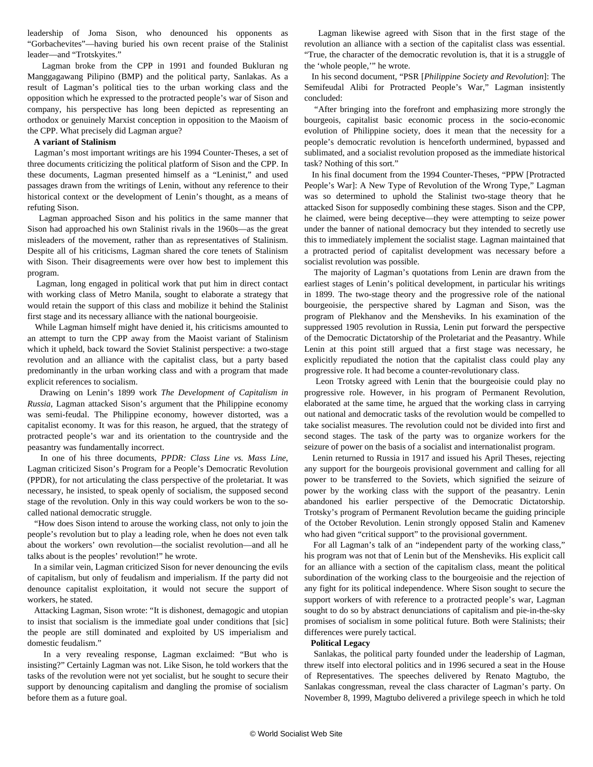leadership of Joma Sison, who denounced his opponents as "Gorbachevites"—having buried his own recent praise of the Stalinist leader—and "Trotskyites."

 Lagman broke from the CPP in 1991 and founded Bukluran ng Manggagawang Pilipino (BMP) and the political party, Sanlakas. As a result of Lagman's political ties to the urban working class and the opposition which he expressed to the protracted people's war of Sison and company, his perspective has long been depicted as representing an orthodox or genuinely Marxist conception in opposition to the Maoism of the CPP. What precisely did Lagman argue?

#### **A variant of Stalinism**

 Lagman's most important writings are his 1994 Counter-Theses, a set of three documents criticizing the political platform of Sison and the CPP. In these documents, Lagman presented himself as a "Leninist," and used passages drawn from the writings of Lenin, without any reference to their historical context or the development of Lenin's thought, as a means of refuting Sison.

 Lagman approached Sison and his politics in the same manner that Sison had approached his own Stalinist rivals in the 1960s—as the great misleaders of the movement, rather than as representatives of Stalinism. Despite all of his criticisms, Lagman shared the core tenets of Stalinism with Sison. Their disagreements were over how best to implement this program.

 Lagman, long engaged in political work that put him in direct contact with working class of Metro Manila, sought to elaborate a strategy that would retain the support of this class and mobilize it behind the Stalinist first stage and its necessary alliance with the national bourgeoisie.

 While Lagman himself might have denied it, his criticisms amounted to an attempt to turn the CPP away from the Maoist variant of Stalinism which it upheld, back toward the Soviet Stalinist perspective: a two-stage revolution and an alliance with the capitalist class, but a party based predominantly in the urban working class and with a program that made explicit references to socialism.

 Drawing on Lenin's 1899 work *The Development of Capitalism in Russia*, Lagman attacked Sison's argument that the Philippine economy was semi-feudal. The Philippine economy, however distorted, was a capitalist economy. It was for this reason, he argued, that the strategy of protracted people's war and its orientation to the countryside and the peasantry was fundamentally incorrect.

 In one of his three documents, *PPDR: Class Line vs. Mass Line*, Lagman criticized Sison's Program for a People's Democratic Revolution (PPDR), for not articulating the class perspective of the proletariat. It was necessary, he insisted, to speak openly of socialism, the supposed second stage of the revolution. Only in this way could workers be won to the socalled national democratic struggle.

 "How does Sison intend to arouse the working class, not only to join the people's revolution but to play a leading role, when he does not even talk about the workers' own revolution—the socialist revolution—and all he talks about is the peoples' revolution!" he wrote.

 In a similar vein, Lagman criticized Sison for never denouncing the evils of capitalism, but only of feudalism and imperialism. If the party did not denounce capitalist exploitation, it would not secure the support of workers, he stated.

 Attacking Lagman, Sison wrote: "It is dishonest, demagogic and utopian to insist that socialism is the immediate goal under conditions that [sic] the people are still dominated and exploited by US imperialism and domestic feudalism."

 In a very revealing response, Lagman exclaimed: "But who is insisting?" Certainly Lagman was not. Like Sison, he told workers that the tasks of the revolution were not yet socialist, but he sought to secure their support by denouncing capitalism and dangling the promise of socialism before them as a future goal.

 Lagman likewise agreed with Sison that in the first stage of the revolution an alliance with a section of the capitalist class was essential. "True, the character of the democratic revolution is, that it is a struggle of the 'whole people,'" he wrote.

 In his second document, "PSR [*Philippine Society and Revolution*]: The Semifeudal Alibi for Protracted People's War," Lagman insistently concluded:

 "After bringing into the forefront and emphasizing more strongly the bourgeois, capitalist basic economic process in the socio-economic evolution of Philippine society, does it mean that the necessity for a people's democratic revolution is henceforth undermined, bypassed and sublimated, and a socialist revolution proposed as the immediate historical task? Nothing of this sort."

 In his final document from the 1994 Counter-Theses, "PPW [Protracted People's War]: A New Type of Revolution of the Wrong Type," Lagman was so determined to uphold the Stalinist two-stage theory that he attacked Sison for supposedly combining these stages. Sison and the CPP, he claimed, were being deceptive—they were attempting to seize power under the banner of national democracy but they intended to secretly use this to immediately implement the socialist stage. Lagman maintained that a protracted period of capitalist development was necessary before a socialist revolution was possible.

 The majority of Lagman's quotations from Lenin are drawn from the earliest stages of Lenin's political development, in particular his writings in 1899. The two-stage theory and the progressive role of the national bourgeoisie, the perspective shared by Lagman and Sison, was the program of Plekhanov and the Mensheviks. In his examination of the suppressed 1905 revolution in Russia, Lenin put forward the perspective of the Democratic Dictatorship of the Proletariat and the Peasantry. While Lenin at this point still argued that a first stage was necessary, he explicitly repudiated the notion that the capitalist class could play any progressive role. It had become a counter-revolutionary class.

 Leon Trotsky agreed with Lenin that the bourgeoisie could play no progressive role. However, in his program of Permanent Revolution, elaborated at the same time, he argued that the working class in carrying out national and democratic tasks of the revolution would be compelled to take socialist measures. The revolution could not be divided into first and second stages. The task of the party was to organize workers for the seizure of power on the basis of a socialist and internationalist program.

 Lenin returned to Russia in 1917 and issued his April Theses, rejecting any support for the bourgeois provisional government and calling for all power to be transferred to the Soviets, which signified the seizure of power by the working class with the support of the peasantry. Lenin abandoned his earlier perspective of the Democratic Dictatorship. Trotsky's program of Permanent Revolution became the guiding principle of the October Revolution. Lenin strongly opposed Stalin and Kamenev who had given "critical support" to the provisional government.

 For all Lagman's talk of an "independent party of the working class," his program was not that of Lenin but of the Mensheviks. His explicit call for an alliance with a section of the capitalism class, meant the political subordination of the working class to the bourgeoisie and the rejection of any fight for its political independence. Where Sison sought to secure the support workers of with reference to a protracted people's war, Lagman sought to do so by abstract denunciations of capitalism and pie-in-the-sky promises of socialism in some political future. Both were Stalinists; their differences were purely tactical.

#### **Political Legacy**

 Sanlakas, the political party founded under the leadership of Lagman, threw itself into electoral politics and in 1996 secured a seat in the House of Representatives. The speeches delivered by Renato Magtubo, the Sanlakas congressman, reveal the class character of Lagman's party. On November 8, 1999, Magtubo delivered a privilege speech in which he told